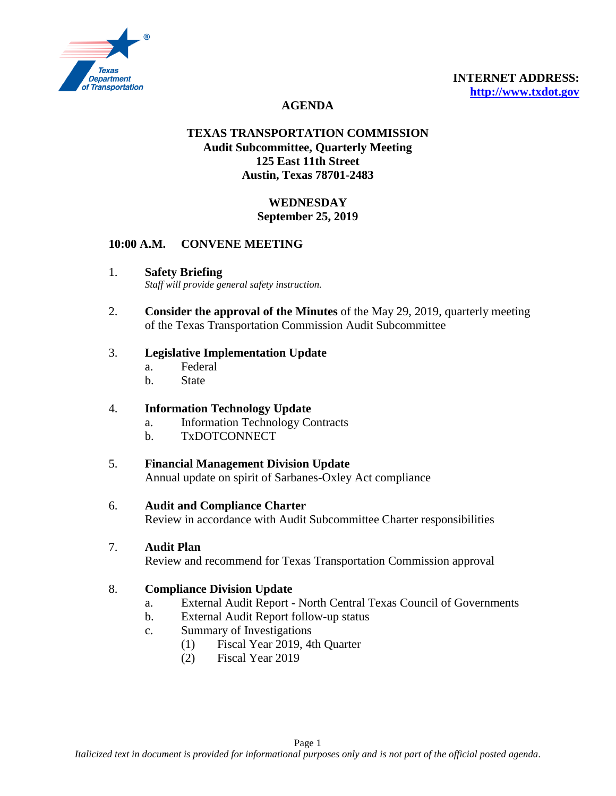

# **AGENDA**

# **TEXAS TRANSPORTATION COMMISSION Audit Subcommittee, Quarterly Meeting 125 East 11th Street Austin, Texas 78701-2483**

# **WEDNESDAY September 25, 2019**

### **10:00 A.M. CONVENE MEETING**

1. **Safety Briefing**

*Staff will provide general safety instruction.*

2. **Consider the approval of the Minutes** of the May 29, 2019, quarterly meeting of the Texas Transportation Commission Audit Subcommittee

### 3. **Legislative Implementation Update**

- a. Federal
- b. State

### 4. **Information Technology Update**

- a. Information Technology Contracts
- b. TxDOTCONNECT

### 5. **Financial Management Division Update**

Annual update on spirit of Sarbanes-Oxley Act compliance

#### 6. **Audit and Compliance Charter**

Review in accordance with Audit Subcommittee Charter responsibilities

#### 7. **Audit Plan**

Review and recommend for Texas Transportation Commission approval

### 8. **Compliance Division Update**

- a. External Audit Report North Central Texas Council of Governments
- b. External Audit Report follow-up status
- c. Summary of Investigations
	- (1) Fiscal Year 2019, 4th Quarter
	- (2) Fiscal Year 2019